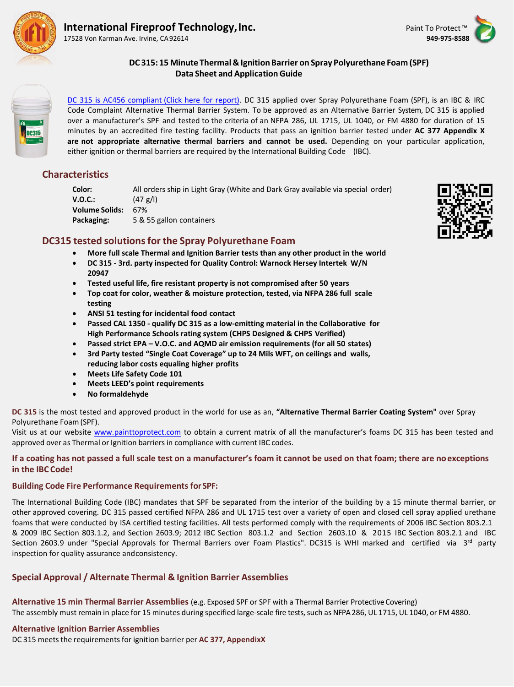

# **International Fireproof Technology, Inc.** Paint To Protect Tube Technology, Paint To Protect Tube Technology, Inc.

17528 Von Karman Ave. Irvine, CA 92614 **949-975-8588**





### **DC 315: 15 Minute Thermal & IgnitionBarrier on Spray Polyurethane Foam (SPF) Data Sheet and ApplicationGuide**

DC 315 is AC456 compliant [\(Click here for report\).](http://painttoprotect.com/AC_456_compliant_IFTI_DC315_CCRR_10-20-15.pdf) DC 315 applied over Spray Polyurethane Foam (SPF), is an IBC & IRC Code Complaint Alternative Thermal Barrier System. To be approved as an Alternative Barrier System, DC 315 is applied over a manufacturer's SPF and tested to the criteria of an NFPA 286, UL 1715, UL 1040, or FM 4880 for duration of 15 minutes by an accredited fire testing facility. Products that pass an ignition barrier tested under **AC 377 Appendix X are not appropriate alternative thermal barriers and cannot be used.** Depending on your particular application, either ignition or thermal barriers are required by the International Building Code (IBC).

# **Characteristics**

**Color:** All orders ship in Light Gray (White and Dark Gray available via special order) **V.O.C.:** (47 g/l) **Volume Solids:** 67% **Packaging:** 5 & 55 gallon containers

### **DC315 tested solutionsfor the Spray Polyurethane Foam**

- **More full scale Thermal and Ignition Barrier tests than any other product in the world**
- **DC 315 3rd. party inspected for Quality Control: Warnock Hersey Intertek W/N 20947**
- **Tested useful life, fire resistant property is not compromised after 50 years**
- **Top coat for color, weather & moisture protection, tested, via NFPA 286 full scale testing**
- **ANSI 51 testing for incidental food contact**
- **Passed CAL 1350 qualify DC 315 as a low-emitting material in the Collaborative for High Performance Schools rating system (CHPS Designed & CHPS Verified)**
- **Passed strict EPA V.O.C. and AQMD air emission requirements (for all 50 states)**
- **3rd Party tested "Single Coat Coverage" up to 24 Mils WFT, on ceilings and walls, reducing labor costs equaling higher profits**
- **Meets Life Safety Code 101**
- **Meets LEED's point requirements**
- **No formaldehyde**

**DC 315** is the most tested and approved product in the world for use as an, **"Alternative Thermal Barrier Coating System"** over Spray Polyurethane Foam (SPF).

Visit us at our website [www.painttoprotect.com](http://www.painttoprotect.com/) to obtain a current matrix of all the manufacturer's foams DC 315 has been tested and approved over as Thermal or Ignition barriers in compliance with current IBC codes.

#### **If a coating has not passed a full scale test on a manufacturer's foam it cannot be used on that foam; there are noexceptions in the IBC Code!**

#### **Building Code Fire Performance Requirements forSPF:**

The International Building Code (IBC) mandates that SPF be separated from the interior of the building by a 15 minute thermal barrier, or other approved covering. DC 315 passed certified NFPA 286 and UL 1715 test over a variety of open and closed cell spray applied urethane foams that were conducted by ISA certified testing facilities. All tests performed comply with the requirements of 2006 IBC Section 803.2.1 & 2009 IBC Section 803.1.2, and Section 2603.9; 2012 IBC Section 803.1.2 and Section 2603.10 & 2015 IBC Section 803.2.1 and IBC Section 2603.9 under "Special Approvals for Thermal Barriers over Foam Plastics". DC315 is WHI marked and certified via  $3^{rd}$  party inspection for quality assurance andconsistency.

# **Special Approval / Alternate Thermal & Ignition Barrier Assemblies**

**Alternative 15 min Thermal Barrier Assemblies** (e.g. Exposed SPF or SPF with a Thermal Barrier ProtectiveCovering) The assembly must remain in place for 15 minutes during specified large-scale fire tests, such as NFPA 286, UL 1715, UL 1040, or FM 4880.

#### **Alternative Ignition Barrier Assemblies**

DC 315 meets the requirementsfor ignition barrier per **AC 377, AppendixX**

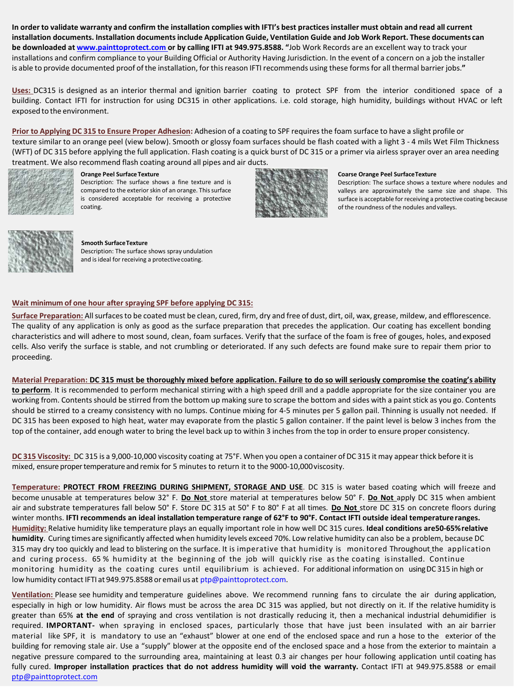In order to validate warranty and confirm the installation complies with IFTI's best practices installer must obtain and read all current installation documents. Installation documents include Application Guide, Ventilation Guide and Job Work Report. These documents can **be downloaded at [www.painttoprotect.com](http://www.painttoprotect.com/) or by calling IFTI at 949.975.8588. "**Job Work Records are an excellent way to track your installations and confirm compliance to your Building Official or Authority Having Jurisdiction. In the event of a concern on a job the installer is able to provide documented proof ofthe installation, for thisreason IFTI recommends using these formsfor all thermal barrier jobs.**"**

**Uses:** DC315 is designed as an interior thermal and ignition barrier coating to protect SPF from the interior conditioned space of a building. Contact IFTI for instruction for using DC315 in other applications. i.e. cold storage, high humidity, buildings without HVAC or left exposed to the environment.

**Prior to Applying DC 315 to Ensure Proper Adhesion:** Adhesion of a coating to SPF requiresthe foam surface to have a slight profile or texture similar to an orange peel (view below). Smooth or glossy foam surfaces should be flash coated with a light 3 - 4 mils Wet Film Thickness (WFT) of DC 315 before applying the full application. Flash coating is a quick burst of DC 315 or a primer via airless sprayer over an area needing treatment. We also recommend flash coating around all pipes and air ducts.



**Orange Peel SurfaceTexture**

Description: The surface shows a fine texture and is compared to the exterior skin of an orange. This surface is considered acceptable for receiving a protective coating.



#### **Coarse Orange Peel SurfaceTexture**

Description: The surface shows a texture where nodules and valleys are approximately the same size and shape. This surface is acceptable for receiving a protective coating because of the roundness of the nodules andvalleys.



#### **Smooth SurfaceTexture** Description: The surface shows spray undulation and is ideal for receiving a protective coating.

#### **Wait minimum of one hour after spraying SPF before applying DC 315:**

**Surface Preparation:** Allsurfacesto be coated must be clean, cured, firm, dry and free of dust, dirt, oil, wax, grease, mildew, and efflorescence. The quality of any application is only as good as the surface preparation that precedes the application. Our coating has excellent bonding characteristics and will adhere to most sound, clean, foam surfaces. Verify that the surface of the foam is free of gouges, holes, andexposed cells. Also verify the surface is stable, and not crumbling or deteriorated. If any such defects are found make sure to repair them prior to proceeding.

**Material Preparation: DC 315 must be thoroughly mixed before application. Failure to do so will seriously compromise the coating's ability to perform**. It is recommended to perform mechanical stirring with a high speed drill and a paddle appropriate for the size container you are working from. Contents should be stirred from the bottom up making sure to scrape the bottom and sides with a paint stick as you go. Contents should be stirred to a creamy consistency with no lumps. Continue mixing for 4-5 minutes per 5 gallon pail. Thinning is usually not needed. If DC 315 has been exposed to high heat, water may evaporate from the plastic 5 gallon container. If the paint level is below 3 inches from the top of the container, add enough water to bring the level back up to within 3 inches from the top in order to ensure proper consistency.

**DC 315 Viscosity:** DC 315 is a 9,000-10,000 viscosity coating at 75°F. When you open a container of DC 315 it may appear thick before it is mixed, ensure propertemperature and remix for 5 minutes to return it to the 9000-10,000viscosity.

**Temperature: PROTECT FROM FREEZING DURING SHIPMENT, STORAGE AND USE**. DC 315 is water based coating which will freeze and become unusable at temperatures below 32° F. **Do Not** store material at temperatures below 50° F. **Do Not** apply DC 315 when ambient air and substrate temperatures fall below 50° F. Store DC 315 at 50° F to 80° F at all times. **Do Not** store DC 315 on concrete floors during winter months. **IFTI recommends an ideal installation temperature range of 62°F to 90°F. Contact IFTI outside ideal temperatureranges. Humidity:** Relative humidity like temperature plays an equally important role in how well DC 315 cures. **Ideal conditions are50-65%relative humidity**. Curing times are significantly affected when humidity levels exceed 70%. Low relative humidity can also be a problem, because DC 315 may dry too quickly and lead to blistering on the surface. It is imperative that humidity is monitored Throughout the application and curing process. 65 % humidity at the beginning of the job will quickly rise as the coating isinstalled. Continue monitoring humidity as the coating cures until equilibrium is achieved. For additional information on usingDC 315 in high or low humidity contact IFTI at 949.975.8588 or email us at [ptp@painttoprotect.com.](mailto:ptp@painttoprotect.com)

**Ventilation:** Please see humidity and temperature guidelines above. We recommend running fans to circulate the air during application, especially in high or low humidity. Air flows must be across the area DC 315 was applied, but not directly on it. If the relative humidity is greater than 65% **at the end** of spraying and cross ventilation is not drastically reducing it, then a mechanical industrial dehumidifier is required. **IMPORTANT-** when spraying in enclosed spaces, particularly those that have just been insulated with an air barrier material like SPF, it is mandatory to use an "exhaust" blower at one end of the enclosed space and run a hose to the exterior of the building for removing stale air. Use a "supply" blower at the opposite end of the enclosed space and a hose from the exterior to maintain a negative pressure compared to the surrounding area, maintaining at least 0.3 air changes per hour following application until coating has fully cured. **Improper installation practices that do not address humidity will void the warranty.** [Contact IFTI at 949.975.8588](mailto:ptp@painttoprotect.com) or email [ptp@painttoprotect.com](mailto:ptp@painttoprotect.com)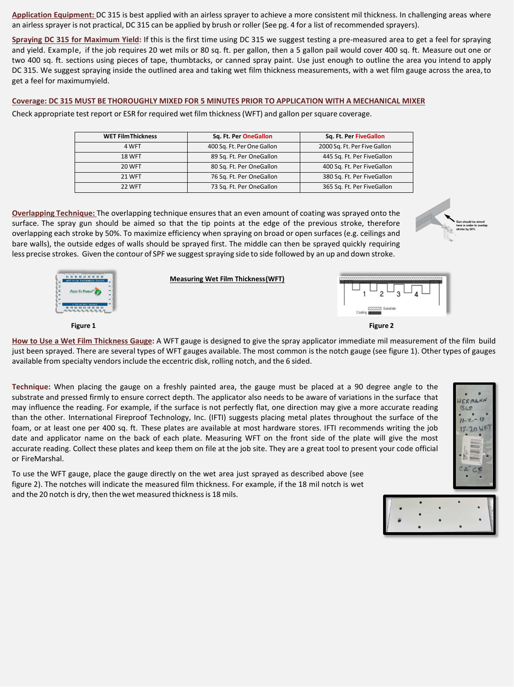**Application Equipment:** DC 315 is best applied with an airless sprayer to achieve a more consistent mil thickness. In challenging areas where an airless sprayer is not practical, DC 315 can be applied by brush or roller (See pg. 4 for a list of recommended sprayers).

**Spraying DC 315 for Maximum Yield:** If this is the first time using DC 315 we suggest testing a pre-measured area to get a feel for spraying and yield. Example, if the job requires 20 wet mils or 80 sq. ft. per gallon, then a 5 gallon pail would cover 400 sq. ft. Measure out one or two 400 sq. ft. sections using pieces of tape, thumbtacks, or canned spray paint. Use just enough to outline the area you intend to apply DC 315. We suggest spraying inside the outlined area and taking wet film thickness measurements, with a wet film gauge across the area,to get a feel for maximumyield.

#### **Coverage: DC 315 MUST BE THOROUGHLY MIXED FOR 5 MINUTES PRIOR TO APPLICATION WITH A MECHANICAL MIXER**

Check appropriate test report or ESR for required wet film thickness(WFT) and gallon persquare coverage.

| <b>WET Film Thickness</b> | Sq. Ft. Per OneGallon      | Sq. Ft. Per FiveGallon       |
|---------------------------|----------------------------|------------------------------|
| 4 WFT                     | 400 Sq. Ft. Per One Gallon | 2000 Sq. Ft. Per Five Gallon |
| <b>18 WFT</b>             | 89 Sq. Ft. Per OneGallon   | 445 Sq. Ft. Per FiveGallon   |
| 20 WFT                    | 80 Sq. Ft. Per OneGallon   | 400 Sq. Ft. Per FiveGallon   |
| <b>21 WFT</b>             | 76 Sq. Ft. Per OneGallon   | 380 Sq. Ft. Per FiveGallon   |
| 22 WFT                    | 73 Sq. Ft. Per OneGallon   | 365 Sq. Ft. Per FiveGallon   |

**Overlapping Technique:** The overlapping technique ensures that an even amount of coating was sprayed onto the surface. The spray gun should be aimed so that the tip points at the edge of the previous stroke, therefore overlapping each stroke by 50%. To maximize efficiency when spraying on broad or open surfaces (e.g. ceilings and bare walls), the outside edges of walls should be sprayed first. The middle can then be sprayed quickly requiring less precise strokes. Given the contour of SPF we suggest spraying side to side followed by an up and down stroke.





#### **Measuring Wet Film Thickness(WFT)**



**How to Use a Wet Film Thickness Gauge:** A WFT gauge is designed to give the spray applicator immediate mil measurement of the film build just been sprayed. There are several types of WFT gauges available. The most common is the notch gauge (see figure 1). Other types of gauges available from specialty vendors include the eccentric disk, rolling notch, and the 6 sided.

**Technique:** When placing the gauge on a freshly painted area, the gauge must be placed at a 90 degree angle to the substrate and pressed firmly to ensure correct depth. The applicator also needs to be aware of variations in the surface that may influence the reading. For example, if the surface is not perfectly flat, one direction may give a more accurate reading than the other. International Fireproof Technology, Inc. (IFTI) suggests placing metal plates throughout the surface of the foam, or at least one per 400 sq. ft. These plates are available at most hardware stores. IFTI recommends writing the job date and applicator name on the back of each plate. Measuring WFT on the front side of the plate will give the most accurate reading. Collect these plates and keep them on file at the job site. They are a great tool to present your code official or FireMarshal.

To use the WFT gauge, place the gauge directly on the wet area just sprayed as described above (see figure 2). The notches will indicate the measured film thickness. For example, if the 18 mil notch is wet and the 20 notch is dry, then the wet measured thickness is 18 mils.



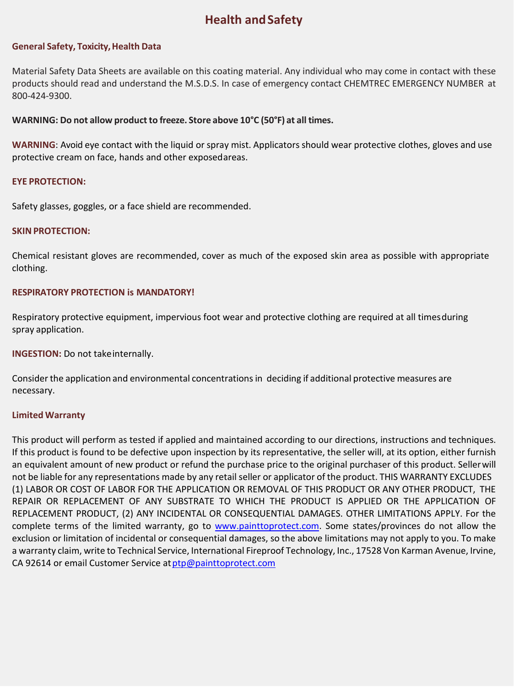# **Health andSafety**

#### **General Safety, Toxicity,Health Data**

Material Safety Data Sheets are available on this coating material. Any individual who may come in contact with these products should read and understand the M.S.D.S. In case of emergency contact CHEMTREC EMERGENCY NUMBER at 800-424-9300.

#### **WARNING: Do not allow productto freeze. Store above 10°C (50°F) at all times.**

**WARNING**: Avoid eye contact with the liquid or spray mist. Applicators should wear protective clothes, gloves and use protective cream on face, hands and other exposedareas.

#### **EYE PROTECTION:**

Safety glasses, goggles, or a face shield are recommended.

#### **SKIN PROTECTION:**

Chemical resistant gloves are recommended, cover as much of the exposed skin area as possible with appropriate clothing.

#### **RESPIRATORY PROTECTION is MANDATORY!**

Respiratory protective equipment, impervious foot wear and protective clothing are required at all timesduring spray application.

**INGESTION:** Do not take internally.

Consider the application and environmental concentrations in deciding if additional protective measures are necessary.

#### **Limited Warranty**

This product will perform as tested if applied and maintained according to our directions, instructions and techniques. If this product is found to be defective upon inspection by its representative, the seller will, at its option, either furnish an equivalent amount of new product or refund the purchase price to the original purchaser of this product. Sellerwill not be liable for any representations made by any retail seller or applicator of the product. THIS WARRANTY EXCLUDES (1) LABOR OR COST OF LABOR FOR THE APPLICATION OR REMOVAL OF THIS PRODUCT OR ANY OTHER PRODUCT, THE REPAIR OR REPLACEMENT OF ANY SUBSTRATE TO WHICH THE PRODUCT IS APPLIED OR THE APPLICATION OF REPLACEMENT PRODUCT, (2) ANY INCIDENTAL OR CONSEQUENTIAL DAMAGES. OTHER LIMITATIONS APPLY. For the complete terms of the limited warranty, go to [www.painttoprotect.com.](http://www.painttoprotect.com/) Some states/provinces do not allow the exclusion or limitation of incidental or consequential damages, so the above limitations may not apply to you. To make a warranty claim, write to Technical Service, International Fireproof Technology, Inc., 17528 Von Karman Avenue, Irvine, CA 92614 or email Customer Service at ptp@painttoprotect.com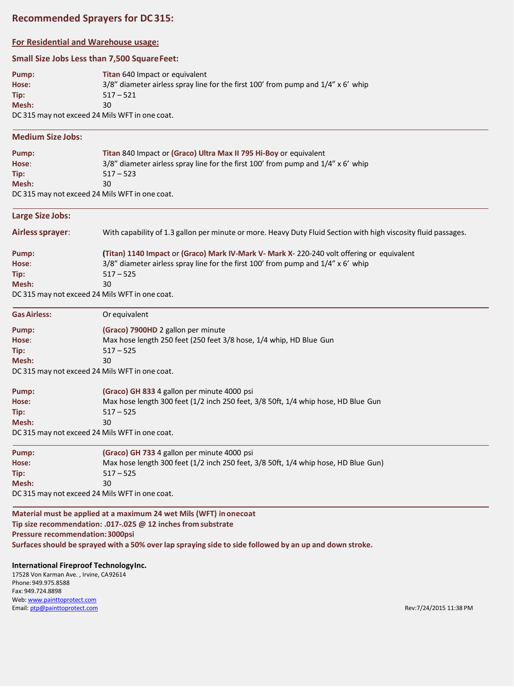# **Recommended Sprayers for DC315:**

#### **For Residential and Warehouse usage:**

#### **Small Size Jobs Less than 7,500 SquareFeet:**

| Pump: | <b>Titan 640 Impact or equivalent</b>                                                  |
|-------|----------------------------------------------------------------------------------------|
| Hose: | $3/8$ " diameter airless spray line for the first 100' from pump and $1/4$ " x 6' whip |
| Tip:  | $517 - 521$                                                                            |
| Mesh: | 30                                                                                     |
| ----- | <i>.</i>                                                                               |

DC 315 may not exceed 24 Mils WFT in one coat.

#### **Medium Size Jobs:**

| Pump:                                          | Titan 840 Impact or (Graco) Ultra Max II 795 Hi-Boy or equivalent                      |
|------------------------------------------------|----------------------------------------------------------------------------------------|
| Hose:                                          | $3/8$ " diameter airless spray line for the first 100' from pump and $1/4$ " x 6' whip |
| Tip:                                           | $517 - 523$                                                                            |
| Mesh:                                          | 30                                                                                     |
| DC 315 may not exceed 24 Mils WFT in one coat. |                                                                                        |

**Large Size Jobs:**

**Airlesssprayer**: With capability of 1.3 gallon per minute or more. Heavy Duty Fluid Section with high viscosity fluid passages.

| Pump: | (Titan) 1140 Impact or (Graco) Mark IV-Mark V- Mark X-220-240 volt offering or equivalent |
|-------|-------------------------------------------------------------------------------------------|
| Hose: | $3/8$ " diameter airless spray line for the first 100' from pump and $1/4$ " x 6' whip    |
| Tip:  | $517 - 525$                                                                               |
| Mesh: | 30                                                                                        |
|       | DC 315 may not exceed 24 Mils WFT in one coat                                             |

DC 315 may not exceed 24 Mils WFT in one coat.

| <b>Gas Airless:</b> | Or equivalent                                                      |
|---------------------|--------------------------------------------------------------------|
| Pump:               | (Graco) 7900HD 2 gallon per minute                                 |
| Hose:               | Max hose length 250 feet (250 feet 3/8 hose, 1/4 whip, HD Blue Gun |
| Tip:                | $517 - 525$                                                        |
| Mesh:               | 30                                                                 |
|                     | DC 315 may not exceed 24 Mils WFT in one coat.                     |

DC 315 may not exceed 24 Mils WFT in one coat.

| Pump:                                         | (Graco) GH 833 4 gallon per minute 4000 psi                                       |  |
|-----------------------------------------------|-----------------------------------------------------------------------------------|--|
| Hose:                                         | Max hose length 300 feet (1/2 inch 250 feet, 3/8 50ft, 1/4 whip hose, HD Blue Gun |  |
| Tip:                                          | $517 - 525$                                                                       |  |
| Mesh:                                         | 30                                                                                |  |
| DC 215 may not exceed 24 Mile WET in one coat |                                                                                   |  |

DC 315 may not exceed 24 Mils WFT in one coat.

| Pump:                                          | (Graco) GH 733 4 gallon per minute 4000 psi                                        |  |
|------------------------------------------------|------------------------------------------------------------------------------------|--|
| Hose:                                          | Max hose length 300 feet (1/2 inch 250 feet, 3/8 50ft, 1/4 whip hose, HD Blue Gun) |  |
| Tip:                                           | $517 - 525$                                                                        |  |
| Mesh:                                          | 30                                                                                 |  |
| DC 315 may not exceed 24 Mils WFT in one coat. |                                                                                    |  |

**Material must be applied at a maximum 24 wet Mils (WFT) in onecoat Tip size recommendation: .017-.025 @ 12 inches from substrate Pressure recommendation:3000psi**

Surfaces should be sprayed with a 50% over lap spraying side to side followed by an up and down stroke.

#### **International Fireproof TechnologyInc.**

17528 Von Karman Ave. , Irvine, CA92614 Phone:949.975.8588 Fax: 949.724.8898 Web: [www.painttoprotect.com](http://www.painttoprotect.com/) Email: **[ptp@painttoprotect.com](mailto:ptp@painttoprotect.com)** Rev:7/24/2015 11:38 PM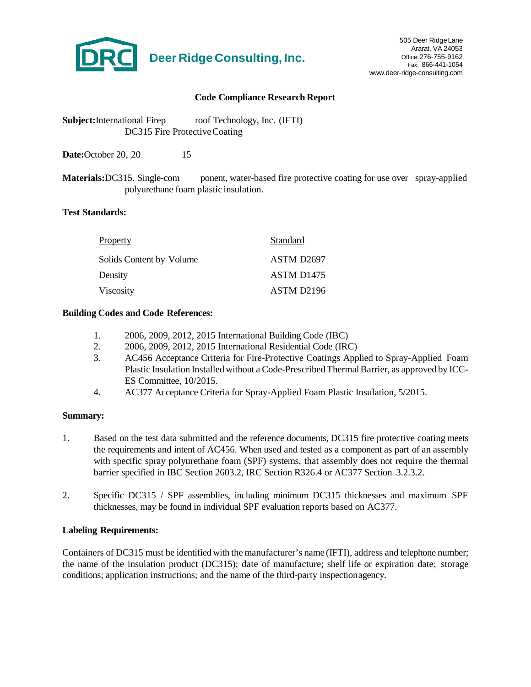

#### **Code Compliance Research Report**

**Subject:**International Firep roof Technology, Inc. (IFTI) DC315 Fire ProtectiveCoating

**Date:**October 20, 20 15

**Materials:**DC315. Single-com ponent, water-based fire protective coating for use over spray-applied polyurethane foam plastic insulation.

#### **Test Standards:**

| Property                 | Standard               |
|--------------------------|------------------------|
| Solids Content by Volume | ASTM D2697             |
| Density                  | ASTM D <sub>1475</sub> |
| Viscosity                | ASTM D2196             |

#### **Building Codes and Code References:**

- 1. 2006, 2009, 2012, 2015 International Building Code (IBC)
- 2. 2006, 2009, 2012, 2015 International Residential Code (IRC)
- 3. AC456 Acceptance Criteria for Fire-Protective Coatings Applied to Spray-Applied Foam Plastic Insulation Installed without a Code-PrescribedThermalBarrier, as approved by ICC-ES Committee, 10/2015.
- 4. AC377 Acceptance Criteria for Spray-Applied Foam Plastic Insulation, 5/2015.

#### **Summary:**

- 1. Based on the test data submitted and the reference documents, DC315 fire protective coating meets the requirements and intent of AC456. When used and tested as a component as part of an assembly with specific spray polyurethane foam (SPF) systems, that assembly does not require the thermal barrier specified in IBC Section 2603.2, IRC Section R326.4 or AC377 Section 3.2.3.2.
- 2. Specific DC315 / SPF assemblies, including minimum DC315 thicknesses and maximum SPF thicknesses, may be found in individual SPF evaluation reports based on AC377.

#### **Labeling Requirements:**

Containers of DC315 must be identified with the manufacturer's name (IFTI), address and telephone number; the name of the insulation product (DC315); date of manufacture; shelf life or expiration date; storage conditions; application instructions; and the name of the third-party inspectionagency.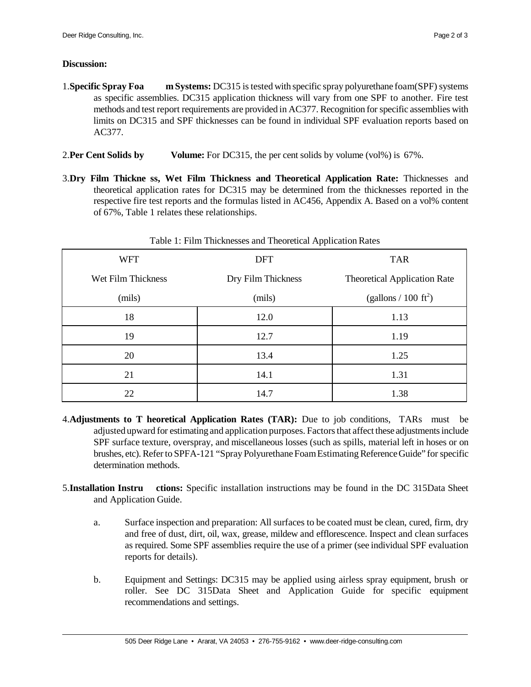#### **Discussion:**

- 1.**Specific Spray Foa** m **Systems:** DC315 is tested with specific spray polyurethane foam(SPF) systems as specific assemblies. DC315 application thickness will vary from one SPF to another. Fire test methods and test report requirements are provided in AC377. Recognition for specific assemblies with limits on DC315 and SPF thicknesses can be found in individual SPF evaluation reports based on AC377.
- 2.**Per Cent Solids by Volume:** For DC315, the per cent solids by volume (vol%) is 67%.
- 3.**Dry Film Thickne ss, Wet Film Thickness and Theoretical Application Rate:** Thicknesses and theoretical application rates for DC315 may be determined from the thicknesses reported in the respective fire test reports and the formulas listed in AC456, Appendix A. Based on a vol% content of 67%, Table 1 relates these relationships.

|                    | in the company of the company of the company of the company of the company of the company of the company of the |                                     |
|--------------------|-----------------------------------------------------------------------------------------------------------------|-------------------------------------|
| <b>WFT</b>         | <b>DFT</b>                                                                                                      | <b>TAR</b>                          |
| Wet Film Thickness | Dry Film Thickness                                                                                              | <b>Theoretical Application Rate</b> |
| (mils)             | (mils)                                                                                                          | (gallons / 100 $\text{ft}^2$ )      |
| 18                 | 12.0                                                                                                            | 1.13                                |
| 19                 | 12.7                                                                                                            | 1.19                                |
| 20                 | 13.4                                                                                                            | 1.25                                |
| 21                 | 14.1                                                                                                            | 1.31                                |
| 22                 | 14.7                                                                                                            | 1.38                                |

Table 1: Film Thicknesses and Theoretical ApplicationRates

- 4.**Adjustments to T heoretical Application Rates (TAR):** Due to job conditions, TARs must be adjusted upward for estimating and application purposes. Factors that affect these adjustments include SPF surface texture, overspray, and miscellaneous losses (such as spills, material left in hoses or on brushes, etc). Refer to SPFA-121 "Spray Polyurethane Foam Estimating Reference Guide" for specific determination methods.
- 5.**Installation Instru ctions:** Specific installation instructions may be found in the DC 315Data Sheet and Application Guide.
	- a. Surface inspection and preparation: Allsurfaces to be coated must be clean, cured, firm, dry and free of dust, dirt, oil, wax, grease, mildew and efflorescence. Inspect and clean surfaces as required. Some SPF assemblies require the use of a primer (see individual SPF evaluation reports for details).
	- b. Equipment and Settings: DC315 may be applied using airless spray equipment, brush or roller. See DC 315Data Sheet and Application Guide for specific equipment recommendations and settings.